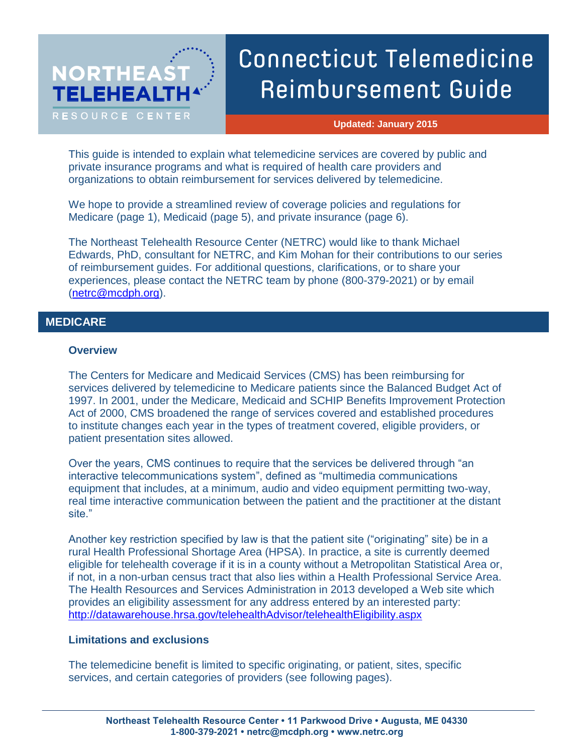# **NORTHEAS TELEHEAL** RESOURCE CENTER

# Connecticut Telemedicine Reimbursement Guide

**Updated: January 2015**

This guide is intended to explain what telemedicine services are covered by public and private insurance programs and what is required of health care providers and organizations to obtain reimbursement for services delivered by telemedicine.

We hope to provide a streamlined review of coverage policies and regulations for Medicare (page 1), Medicaid (page 5), and private insurance (page 6).

The Northeast Telehealth Resource Center (NETRC) would like to thank Michael Edwards, PhD, consultant for NETRC, and Kim Mohan for their contributions to our series of reimbursement guides. For additional questions, clarifications, or to share your experiences, please contact the NETRC team by phone (800-379-2021) or by email [\(netrc@mcdph.org\)](mailto:netrc@mcdph.org).

# **1. MEDICARE MEDICARE**

# **Overview**

The Centers for Medicare and Medicaid Services (CMS) has been reimbursing for services delivered by telemedicine to Medicare patients since the Balanced Budget Act of 1997. In 2001, under the Medicare, Medicaid and SCHIP Benefits Improvement Protection Act of 2000, CMS broadened the range of services covered and established procedures to institute changes each year in the types of treatment covered, eligible providers, or patient presentation sites allowed.

Over the years, CMS continues to require that the services be delivered through "an interactive telecommunications system", defined as "multimedia communications equipment that includes, at a minimum, audio and video equipment permitting two-way, real time interactive communication between the patient and the practitioner at the distant site."

Another key restriction specified by law is that the patient site ("originating" site) be in a rural Health Professional Shortage Area (HPSA). In practice, a site is currently deemed eligible for telehealth coverage if it is in a county without a Metropolitan Statistical Area or, if not, in a non-urban census tract that also lies within a Health Professional Service Area. The Health Resources and Services Administration in 2013 developed a Web site which provides an eligibility assessment for any address entered by an interested party: <http://datawarehouse.hrsa.gov/telehealthAdvisor/telehealthEligibility.aspx>

# **Limitations and exclusions**

The telemedicine benefit is limited to specific originating, or patient, sites, specific services, and certain categories of providers (see following pages).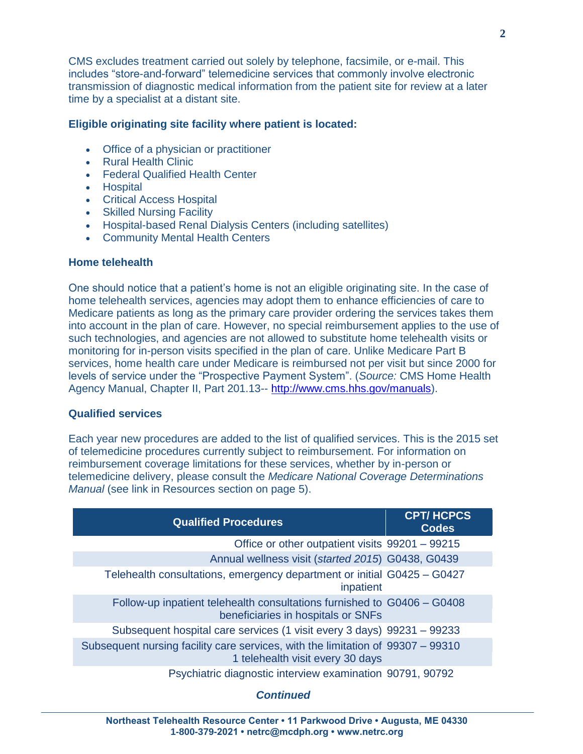CMS excludes treatment carried out solely by telephone, facsimile, or e-mail. This includes "store-and-forward" telemedicine services that commonly involve electronic transmission of diagnostic medical information from the patient site for review at a later time by a specialist at a distant site.

# **Eligible originating site facility where patient is located:**

- Office of a physician or practitioner
- Rural Health Clinic
- Federal Qualified Health Center
- Hospital
- Critical Access Hospital
- Skilled Nursing Facility
- Hospital-based Renal Dialysis Centers (including satellites)
- Community Mental Health Centers

# **Home telehealth**

One should notice that a patient's home is not an eligible originating site. In the case of home telehealth services, agencies may adopt them to enhance efficiencies of care to Medicare patients as long as the primary care provider ordering the services takes them into account in the plan of care. However, no special reimbursement applies to the use of such technologies, and agencies are not allowed to substitute home telehealth visits or monitoring for in-person visits specified in the plan of care. Unlike Medicare Part B services, home health care under Medicare is reimbursed not per visit but since 2000 for levels of service under the "Prospective Payment System". (*Source:* CMS Home Health Agency Manual, Chapter II, Part 201.13-- [http://www.cms.hhs.gov/manuals\)](http://www.cms.hhs.gov/manuals).

# **Qualified services**

Each year new procedures are added to the list of qualified services. This is the 2015 set of telemedicine procedures currently subject to reimbursement. For information on reimbursement coverage limitations for these services, whether by in-person or telemedicine delivery, please consult the *Medicare National Coverage Determinations Manual* (see link in Resources section on page 5).

| <b>Qualified Procedures</b>                                                                                         | <b>CPT/HCPCS</b><br><b>Codes</b> |
|---------------------------------------------------------------------------------------------------------------------|----------------------------------|
| Office or other outpatient visits 99201 - 99215                                                                     |                                  |
| Annual wellness visit (started 2015) G0438, G0439                                                                   |                                  |
| Telehealth consultations, emergency department or initial G0425 - G0427<br>inpatient                                |                                  |
| Follow-up inpatient telehealth consultations furnished to G0406 - G0408<br>beneficiaries in hospitals or SNFs       |                                  |
| Subsequent hospital care services (1 visit every 3 days) 99231 – 99233                                              |                                  |
| Subsequent nursing facility care services, with the limitation of 99307 – 99310<br>1 telehealth visit every 30 days |                                  |
| Psychiatric diagnostic interview examination 90791, 90792                                                           |                                  |

# *Continued*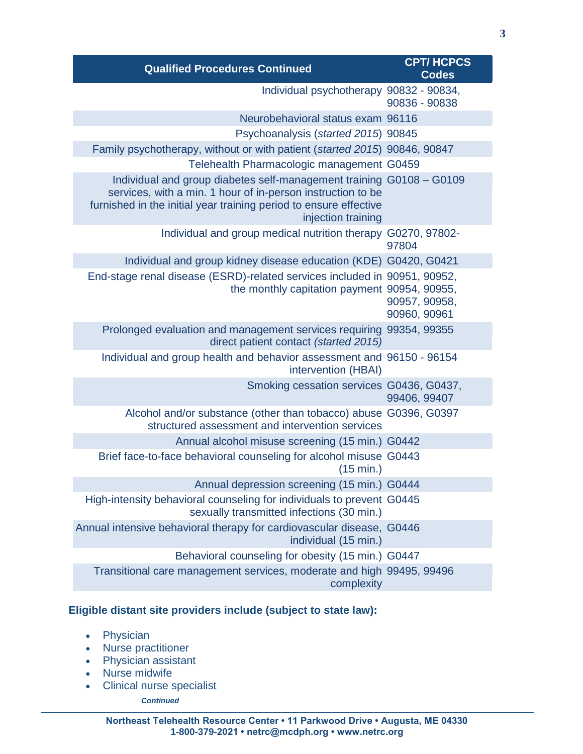| <b>Qualified Procedures Continued</b>                                                                                                                                                                                          | <b>CPT/HCPCS</b><br><b>Codes</b> |
|--------------------------------------------------------------------------------------------------------------------------------------------------------------------------------------------------------------------------------|----------------------------------|
| Individual psychotherapy 90832 - 90834,                                                                                                                                                                                        | 90836 - 90838                    |
| Neurobehavioral status exam 96116                                                                                                                                                                                              |                                  |
| Psychoanalysis (started 2015) 90845                                                                                                                                                                                            |                                  |
| Family psychotherapy, without or with patient (started 2015) 90846, 90847                                                                                                                                                      |                                  |
| Telehealth Pharmacologic management G0459                                                                                                                                                                                      |                                  |
| Individual and group diabetes self-management training G0108 - G0109<br>services, with a min. 1 hour of in-person instruction to be<br>furnished in the initial year training period to ensure effective<br>injection training |                                  |
| Individual and group medical nutrition therapy G0270, 97802-                                                                                                                                                                   | 97804                            |
| Individual and group kidney disease education (KDE) G0420, G0421                                                                                                                                                               |                                  |
| End-stage renal disease (ESRD)-related services included in 90951, 90952,<br>the monthly capitation payment 90954, 90955,                                                                                                      | 90957, 90958,<br>90960, 90961    |
| Prolonged evaluation and management services requiring 99354, 99355<br>direct patient contact (started 2015)                                                                                                                   |                                  |
| Individual and group health and behavior assessment and 96150 - 96154<br>intervention (HBAI)                                                                                                                                   |                                  |
| Smoking cessation services G0436, G0437,                                                                                                                                                                                       | 99406, 99407                     |
| Alcohol and/or substance (other than tobacco) abuse G0396, G0397<br>structured assessment and intervention services                                                                                                            |                                  |
| Annual alcohol misuse screening (15 min.) G0442                                                                                                                                                                                |                                  |
| Brief face-to-face behavioral counseling for alcohol misuse G0443<br>(15 min.)                                                                                                                                                 |                                  |
| Annual depression screening (15 min.) G0444                                                                                                                                                                                    |                                  |
| High-intensity behavioral counseling for individuals to prevent G0445<br>sexually transmitted infections (30 min.)                                                                                                             |                                  |
| Annual intensive behavioral therapy for cardiovascular disease, G0446<br>individual (15 min.)                                                                                                                                  |                                  |
| Behavioral counseling for obesity (15 min.) G0447                                                                                                                                                                              |                                  |
| Transitional care management services, moderate and high 99495, 99496<br>complexity                                                                                                                                            |                                  |

# **Eligible distant site providers include (subject to state law):**

- Physician
- Nurse practitioner
- Physician assistant
- Nurse midwife
- Clinical nurse specialist

*Continued*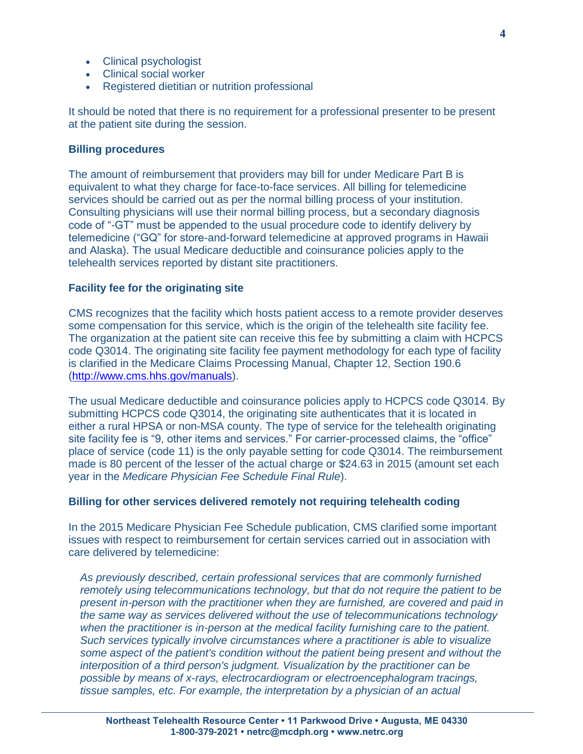- Clinical psychologist
- Clinical social worker
- Registered dietitian or nutrition professional

It should be noted that there is no requirement for a professional presenter to be present at the patient site during the session.

# **Billing procedures**

The amount of reimbursement that providers may bill for under Medicare Part B is equivalent to what they charge for face-to-face services. All billing for telemedicine services should be carried out as per the normal billing process of your institution. Consulting physicians will use their normal billing process, but a secondary diagnosis code of "-GT" must be appended to the usual procedure code to identify delivery by telemedicine ("GQ" for store-and-forward telemedicine at approved programs in Hawaii and Alaska). The usual Medicare deductible and coinsurance policies apply to the telehealth services reported by distant site practitioners.

#### **Facility fee for the originating site**

CMS recognizes that the facility which hosts patient access to a remote provider deserves some compensation for this service, which is the origin of the telehealth site facility fee. The organization at the patient site can receive this fee by submitting a claim with HCPCS code Q3014. The originating site facility fee payment methodology for each type of facility is clarified in the Medicare Claims Processing Manual, Chapter 12, Section 190.6 [\(http://www.cms.hhs.gov/manuals\)](http://www.cms.hhs.gov/manuals).

The usual Medicare deductible and coinsurance policies apply to HCPCS code Q3014. By submitting HCPCS code Q3014, the originating site authenticates that it is located in either a rural HPSA or non-MSA county. The type of service for the telehealth originating site facility fee is "9, other items and services." For carrier-processed claims, the "office" place of service (code 11) is the only payable setting for code Q3014. The reimbursement made is 80 percent of the lesser of the actual charge or \$24.63 in 2015 (amount set each year in the *Medicare Physician Fee Schedule Final Rule*).

#### **Billing for other services delivered remotely not requiring telehealth coding**

In the 2015 Medicare Physician Fee Schedule publication, CMS clarified some important issues with respect to reimbursement for certain services carried out in association with care delivered by telemedicine:

*As previously described, certain professional services that are commonly furnished remotely using telecommunications technology, but that do not require the patient to be present in-person with the practitioner when they are furnished, are covered and paid in the same way as services delivered without the use of telecommunications technology when the practitioner is in-person at the medical facility furnishing care to the patient. Such services typically involve circumstances where a practitioner is able to visualize some aspect of the patient's condition without the patient being present and without the interposition of a third person's judgment. Visualization by the practitioner can be possible by means of x-rays, electrocardiogram or electroencephalogram tracings, tissue samples, etc. For example, the interpretation by a physician of an actual*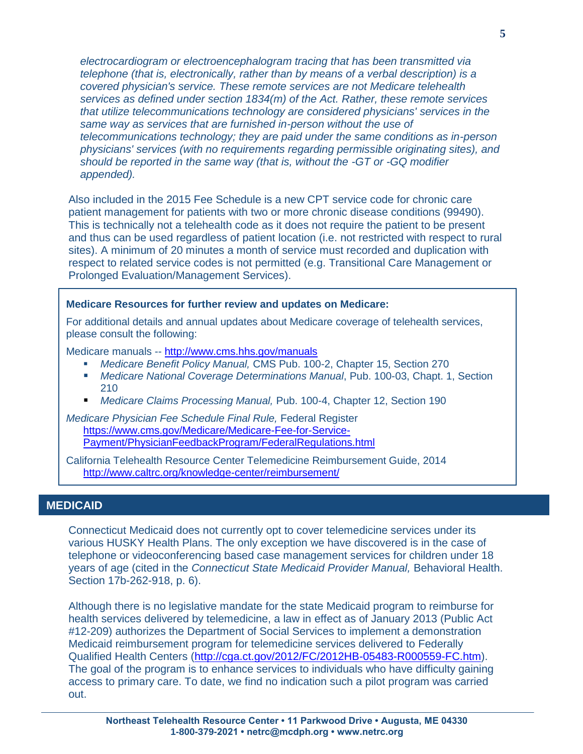*electrocardiogram or electroencephalogram tracing that has been transmitted via telephone (that is, electronically, rather than by means of a verbal description) is a covered physician's service. These remote services are not Medicare telehealth services as defined under section 1834(m) of the Act. Rather, these remote services that utilize telecommunications technology are considered physicians' services in the same way as services that are furnished in-person without the use of telecommunications technology; they are paid under the same conditions as in-person physicians' services (with no requirements regarding permissible originating sites), and should be reported in the same way (that is, without the -GT or -GQ modifier appended).*

Also included in the 2015 Fee Schedule is a new CPT service code for chronic care patient management for patients with two or more chronic disease conditions (99490). This is technically not a telehealth code as it does not require the patient to be present and thus can be used regardless of patient location (i.e. not restricted with respect to rural sites). A minimum of 20 minutes a month of service must recorded and duplication with respect to related service codes is not permitted (e.g. Transitional Care Management or Prolonged Evaluation/Management Services).

# **Medicare Resources for further review and updates on Medicare:**

For additional details and annual updates about Medicare coverage of telehealth services, please consult the following:

Medicare manuals -- <http://www.cms.hhs.gov/manuals>

- *Medicare Benefit Policy Manual,* CMS Pub. 100-2, Chapter 15, Section 270
- *Medicare National Coverage Determinations Manual*, Pub. 100-03, Chapt. 1, Section 210
- *Medicare Claims Processing Manual,* Pub. 100-4, Chapter 12, Section 190

*Medicare Physician Fee Schedule Final Rule,* Federal Register [https://www.cms.gov/Medicare/Medicare-Fee-for-Service-](https://www.cms.gov/Medicare/Medicare-Fee-for-Service-Payment/PhysicianFeedbackProgram/FederalRegulations.html)[Payment/PhysicianFeedbackProgram/FederalRegulations.html](https://www.cms.gov/Medicare/Medicare-Fee-for-Service-Payment/PhysicianFeedbackProgram/FederalRegulations.html)

California Telehealth Resource Center Telemedicine Reimbursement Guide, 2014 <http://www.caltrc.org/knowledge-center/reimbursement/>

### **MEDICAID**

Connecticut Medicaid does not currently opt to cover telemedicine services under its various HUSKY Health Plans. The only exception we have discovered is in the case of telephone or videoconferencing based case management services for children under 18 years of age (cited in the *Connecticut State Medicaid Provider Manual,* Behavioral Health. Section 17b-262-918, p. 6).

Although there is no legislative mandate for the state Medicaid program to reimburse for health services delivered by telemedicine, a law in effect as of January 2013 (Public Act #12-209) authorizes the Department of Social Services to implement a demonstration Medicaid reimbursement program for telemedicine services delivered to Federally Qualified Health Centers [\(http://cga.ct.gov/2012/FC/2012HB-05483-R000559-FC.htm\)](http://cga.ct.gov/2012/FC/2012HB-05483-R000559-FC.htm). The goal of the program is to enhance services to individuals who have difficulty gaining access to primary care. To date, we find no indication such a pilot program was carried out.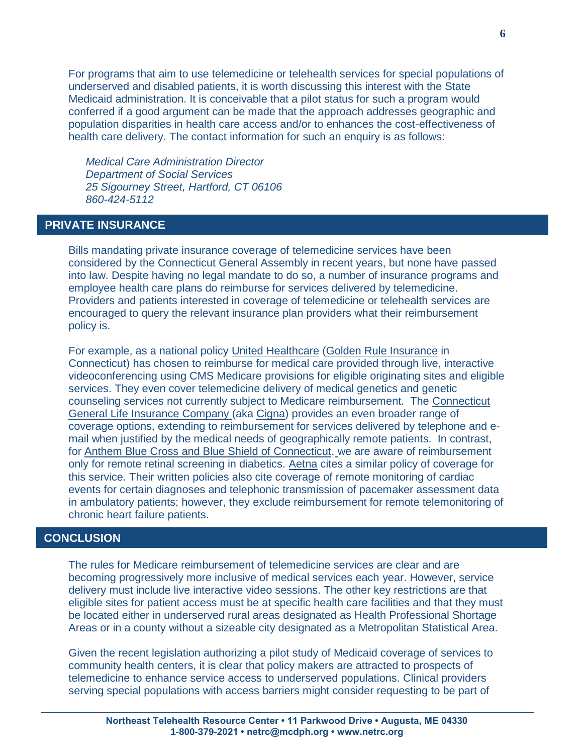For programs that aim to use telemedicine or telehealth services for special populations of underserved and disabled patients, it is worth discussing this interest with the State Medicaid administration. It is conceivable that a pilot status for such a program would conferred if a good argument can be made that the approach addresses geographic and population disparities in health care access and/or to enhances the cost-effectiveness of health care delivery. The contact information for such an enquiry is as follows:

*Medical Care Administration Director Department of Social Services 25 Sigourney Street, Hartford, CT 06106 860-424-5112*

# **PRIVATE INSURANCE PRIVATE**

Bills mandating private insurance coverage of telemedicine services have been considered by the Connecticut General Assembly in recent years, but none have passed into law. Despite having no legal mandate to do so, a number of insurance programs and employee health care plans do reimburse for services delivered by telemedicine. Providers and patients interested in coverage of telemedicine or telehealth services are encouraged to query the relevant insurance plan providers what their reimbursement policy is.

For example, as a national policy United Healthcare (Golden Rule Insurance in Connecticut) has chosen to reimburse for medical care provided through live, interactive videoconferencing using CMS Medicare provisions for eligible originating sites and eligible services. They even cover telemedicine delivery of medical genetics and genetic counseling services not currently subject to Medicare reimbursement. The Connecticut General Life Insurance Company (aka Cigna) provides an even broader range of coverage options, extending to reimbursement for services delivered by telephone and email when justified by the medical needs of geographically remote patients. In contrast, for Anthem Blue Cross and Blue Shield of Connecticut, we are aware of reimbursement only for remote retinal screening in diabetics. Aetna cites a similar policy of coverage for this service. Their written policies also cite coverage of remote monitoring of cardiac events for certain diagnoses and telephonic transmission of pacemaker assessment data in ambulatory patients; however, they exclude reimbursement for remote telemonitoring of chronic heart failure patients.

# **CONCLUSION CONCLUSION**

The rules for Medicare reimbursement of telemedicine services are clear and are becoming progressively more inclusive of medical services each year. However, service delivery must include live interactive video sessions. The other key restrictions are that eligible sites for patient access must be at specific health care facilities and that they must be located either in underserved rural areas designated as Health Professional Shortage Areas or in a county without a sizeable city designated as a Metropolitan Statistical Area.

Given the recent legislation authorizing a pilot study of Medicaid coverage of services to community health centers, it is clear that policy makers are attracted to prospects of telemedicine to enhance service access to underserved populations. Clinical providers serving special populations with access barriers might consider requesting to be part of